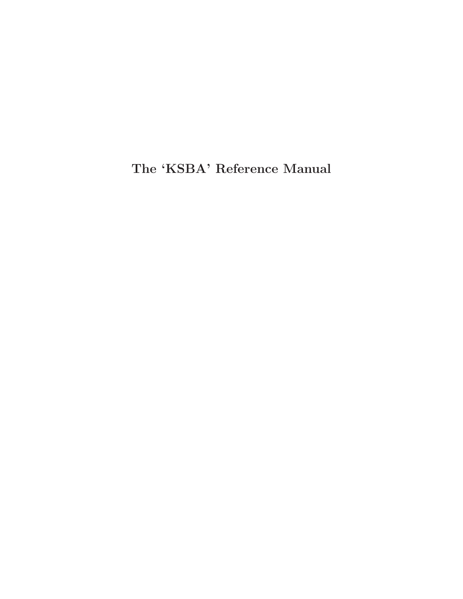The 'KSBA' Reference Manual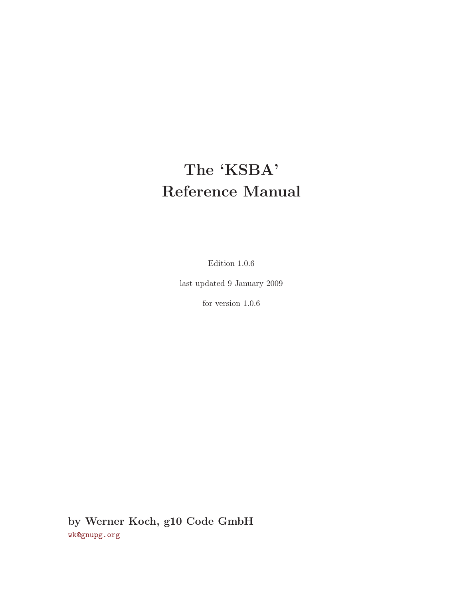# The 'KSBA' Reference Manual

Edition 1.0.6

last updated 9 January 2009

for version 1.0.6

by Werner Koch, g10 Code GmbH [wk@gnupg.org](mailto:wk@gnupg.org)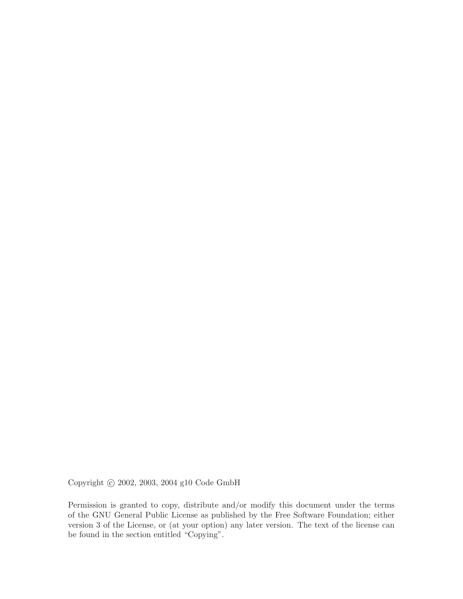Copyright © 2002, 2003, 2004 g10 Code GmbH

Permission is granted to copy, distribute and/or modify this document under the terms of the GNU General Public License as published by the Free Software Foundation; either version 3 of the License, or (at your option) any later version. The text of the license can be found in the section entitled "Copying".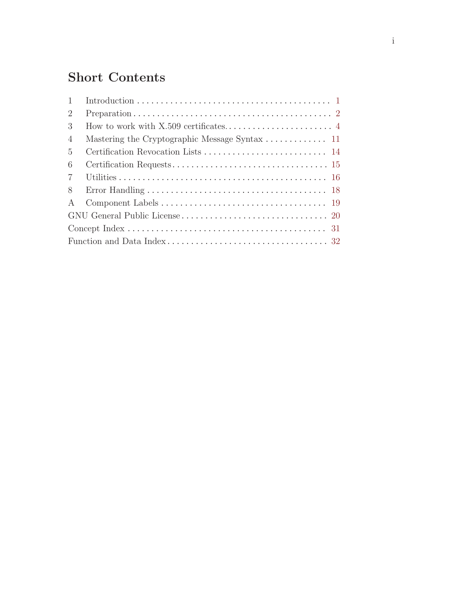# Short Contents

| $\mathbf{1}$   |  |
|----------------|--|
| 2              |  |
| 3              |  |
| $\overline{4}$ |  |
| 5              |  |
| 6              |  |
| $\overline{7}$ |  |
| 8              |  |
| $\mathbf{A}$   |  |
|                |  |
|                |  |
|                |  |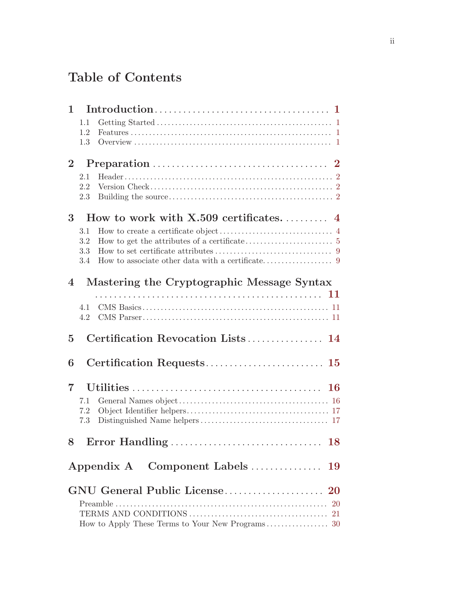# Table of Contents

| $\mathbf{1}$   |            |                                            |
|----------------|------------|--------------------------------------------|
|                | 1.1        |                                            |
|                | 1.2        |                                            |
|                | 1.3        |                                            |
| 2 <sup>1</sup> |            |                                            |
|                | 2.1        |                                            |
|                | 2.2        |                                            |
|                | 2.3        |                                            |
| 3              |            |                                            |
|                | 3.1        |                                            |
|                | 3.2<br>3.3 |                                            |
|                | 3.4        |                                            |
|                |            |                                            |
| $\overline{4}$ |            | Mastering the Cryptographic Message Syntax |
|                |            |                                            |
|                | 4.1<br>4.2 |                                            |
|                |            |                                            |
| $\overline{5}$ |            | Certification Revocation Lists 14          |
| 6              |            | Certification Requests 15                  |
|                |            |                                            |
| $\overline{7}$ |            |                                            |
|                | 7.1        |                                            |
|                | 7.2        |                                            |
|                | 7.3        |                                            |
|                |            |                                            |
|                |            |                                            |
|                |            |                                            |
|                |            |                                            |
|                |            |                                            |
|                |            |                                            |
|                |            |                                            |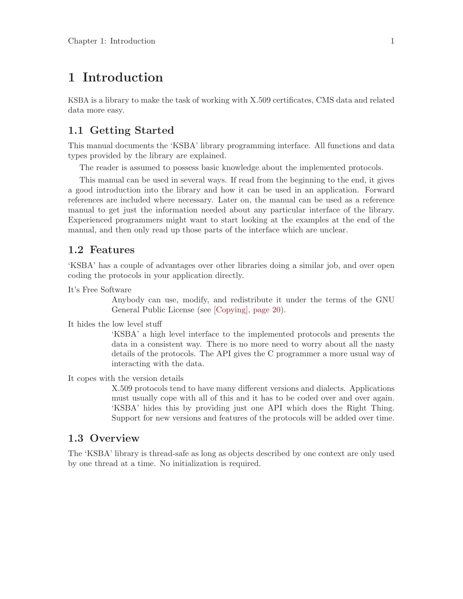## <span id="page-7-0"></span>1 Introduction

KSBA is a library to make the task of working with X.509 certificates, CMS data and related data more easy.

## 1.1 Getting Started

This manual documents the 'KSBA' library programming interface. All functions and data types provided by the library are explained.

The reader is assumed to possess basic knowledge about the implemented protocols.

This manual can be used in several ways. If read from the beginning to the end, it gives a good introduction into the library and how it can be used in an application. Forward references are included where necessary. Later on, the manual can be used as a reference manual to get just the information needed about any particular interface of the library. Experienced programmers might want to start looking at the examples at the end of the manual, and then only read up those parts of the interface which are unclear.

## 1.2 Features

'KSBA' has a couple of advantages over other libraries doing a similar job, and over open coding the protocols in your application directly.

It's Free Software

Anybody can use, modify, and redistribute it under the terms of the GNU General Public License (see [\[Copying\], page 20](#page-26-0)).

It hides the low level stuff

'KSBA' a high level interface to the implemented protocols and presents the data in a consistent way. There is no more need to worry about all the nasty details of the protocols. The API gives the C programmer a more usual way of interacting with the data.

It copes with the version details

X.509 protocols tend to have many different versions and dialects. Applications must usually cope with all of this and it has to be coded over and over again. 'KSBA' hides this by providing just one API which does the Right Thing. Support for new versions and features of the protocols will be added over time.

## 1.3 Overview

The 'KSBA' library is thread-safe as long as objects described by one context are only used by one thread at a time. No initialization is required.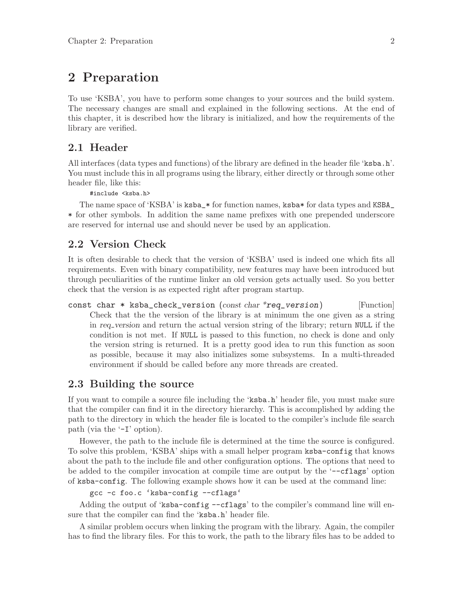## <span id="page-8-0"></span>2 Preparation

To use 'KSBA', you have to perform some changes to your sources and the build system. The necessary changes are small and explained in the following sections. At the end of this chapter, it is described how the library is initialized, and how the requirements of the library are verified.

## 2.1 Header

All interfaces (data types and functions) of the library are defined in the header file 'ksba.h'. You must include this in all programs using the library, either directly or through some other header file, like this:

#include <ksba.h>

The name space of 'KSBA' is ksba\_\* for function names, ksba\* for data types and KSBA\_ \* for other symbols. In addition the same name prefixes with one prepended underscore are reserved for internal use and should never be used by an application.

## 2.2 Version Check

It is often desirable to check that the version of 'KSBA' used is indeed one which fits all requirements. Even with binary compatibility, new features may have been introduced but through peculiarities of the runtime linker an old version gets actually used. So you better check that the version is as expected right after program startup.

const char  $*$  ksba\_check\_version (const char  $*$ req\_version) [Function] Check that the the version of the library is at minimum the one given as a string in req version and return the actual version string of the library; return NULL if the condition is not met. If NULL is passed to this function, no check is done and only the version string is returned. It is a pretty good idea to run this function as soon as possible, because it may also initializes some subsystems. In a multi-threaded environment if should be called before any more threads are created.

## 2.3 Building the source

If you want to compile a source file including the 'ksba.h' header file, you must make sure that the compiler can find it in the directory hierarchy. This is accomplished by adding the path to the directory in which the header file is located to the compiler's include file search path (via the '-I' option).

However, the path to the include file is determined at the time the source is configured. To solve this problem, 'KSBA' ships with a small helper program ksba-config that knows about the path to the include file and other configuration options. The options that need to be added to the compiler invocation at compile time are output by the '--cflags' option of ksba-config. The following example shows how it can be used at the command line:

```
gcc -c foo.c 'ksba-config --cflags'
```
Adding the output of 'ksba-config --cflags' to the compiler's command line will ensure that the compiler can find the 'ksba.h' header file.

A similar problem occurs when linking the program with the library. Again, the compiler has to find the library files. For this to work, the path to the library files has to be added to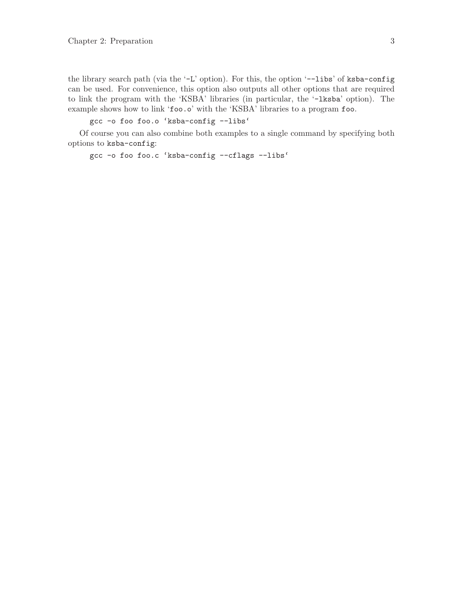the library search path (via the '-L' option). For this, the option '--libs' of ksba-config can be used. For convenience, this option also outputs all other options that are required to link the program with the 'KSBA' libraries (in particular, the '-lksba' option). The example shows how to link 'foo.o' with the 'KSBA' libraries to a program foo.

gcc -o foo foo.o 'ksba-config --libs'

Of course you can also combine both examples to a single command by specifying both options to ksba-config:

gcc -o foo foo.c 'ksba-config --cflags --libs'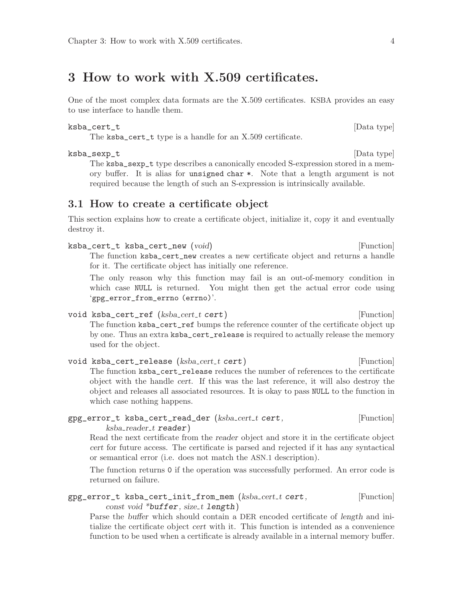## <span id="page-10-0"></span>3 How to work with X.509 certificates.

One of the most complex data formats are the X.509 certificates. KSBA provides an easy to use interface to handle them.

#### ksba\_cert\_t [Data type]

The ksba\_cert\_t type is a handle for an X.509 certificate.

## ksba\_sexp\_t [Data type]

The ksba\_sexp\_t type describes a canonically encoded S-expression stored in a memory buffer. It is alias for unsigned char \*. Note that a length argument is not required because the length of such an S-expression is intrinsically available.

## 3.1 How to create a certificate object

This section explains how to create a certificate object, initialize it, copy it and eventually destroy it.

| ksba_cert_t ksba_cert_new (void)                                                 | [Function] |
|----------------------------------------------------------------------------------|------------|
| The function ksba_cert_new creates a new certificate object and returns a handle |            |
| for it. The certificate object has initially one reference.                      |            |

The only reason why this function may fail is an out-of-memory condition in which case NULL is returned. You might then get the actual error code using 'gpg\_error\_from\_errno (errno)'.

void ksba\_cert\_ref (ksba\_cert\_t cert) [Function]

The function ksba\_cert\_ref bumps the reference counter of the certificate object up by one. Thus an extra ksba\_cert\_release is required to actually release the memory used for the object.

void ksba\_cert\_release (ksba\_cert\_t cert) [Function] The function ksba\_cert\_release reduces the number of references to the certificate object with the handle cert. If this was the last reference, it will also destroy the object and releases all associated resources. It is okay to pass NULL to the function in which case nothing happens.

## $gpg_error_t$  ksba\_cert\_read\_der ( $ksba_cert_t$  cert,  $[Function]$  $ksba\_reader\_t$  reader)

Read the next certificate from the reader object and store it in the certificate object cert for future access. The certificate is parsed and rejected if it has any syntactical or semantical error (i.e. does not match the ASN.1 description).

The function returns 0 if the operation was successfully performed. An error code is returned on failure.

 $gpg_error_t$  ksba\_cert\_init\_from\_mem ( $ksba_cert_t$  cert,  $[Function]$ const void \*buffer, size\_t length)

Parse the buffer which should contain a DER encoded certificate of length and initialize the certificate object cert with it. This function is intended as a convenience function to be used when a certificate is already available in a internal memory buffer.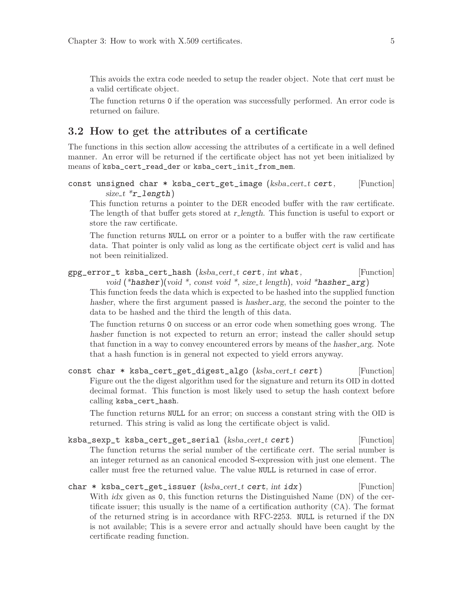<span id="page-11-0"></span>This avoids the extra code needed to setup the reader object. Note that cert must be a valid certificate object.

The function returns 0 if the operation was successfully performed. An error code is returned on failure.

## 3.2 How to get the attributes of a certificate

The functions in this section allow accessing the attributes of a certificate in a well defined manner. An error will be returned if the certificate object has not yet been initialized by means of ksba\_cert\_read\_der or ksba\_cert\_init\_from\_mem.

```
const unsigned char * ksba_cert_get_image (ksba_cert_t cert, [Function]
        size_t *r\_length)
```
This function returns a pointer to the DER encoded buffer with the raw certificate. The length of that buffer gets stored at r-length. This function is useful to export or store the raw certificate.

The function returns NULL on error or a pointer to a buffer with the raw certificate data. That pointer is only valid as long as the certificate object cert is valid and has not been reinitialized.

```
gpg_error_t ksba_cert_hash (ksba_cert_t cert, int what, [Function]void (*hasher)(void *, const void *, size_t length), void *hasher_arg)
```
This function feeds the data which is expected to be hashed into the supplied function hasher, where the first argument passed is hasher arg, the second the pointer to the data to be hashed and the third the length of this data.

The function returns 0 on success or an error code when something goes wrong. The hasher function is not expected to return an error; instead the caller should setup that function in a way to convey encountered errors by means of the hasher arg. Note that a hash function is in general not expected to yield errors anyway.

const char \* ksba\_cert\_get\_digest\_algo (ksba\_cert\_t cert) [Function] Figure out the the digest algorithm used for the signature and return its OID in dotted decimal format. This function is most likely used to setup the hash context before calling ksba\_cert\_hash.

The function returns NULL for an error; on success a constant string with the OID is returned. This string is valid as long the certificate object is valid.

- ksba\_sexp\_t ksba\_cert\_get\_serial (ksba\_cert\_t cert) [Function] The function returns the serial number of the certificate cert. The serial number is an integer returned as an canonical encoded S-expression with just one element. The caller must free the returned value. The value NULL is returned in case of error.
- $char * ksba_cert_get\_issuer (ksba_cert_t cert, int idx)$  [Function] With *idx* given as 0, this function returns the Distinguished Name (DN) of the certificate issuer; this usually is the name of a certification authority (CA). The format of the returned string is in accordance with RFC-2253. NULL is returned if the DN is not available; This is a severe error and actually should have been caught by the certificate reading function.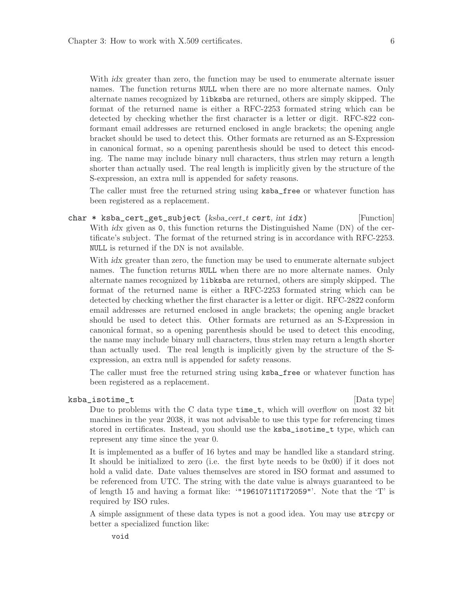<span id="page-12-0"></span>With *idx* greater than zero, the function may be used to enumerate alternate issuer names. The function returns NULL when there are no more alternate names. Only alternate names recognized by libksba are returned, others are simply skipped. The format of the returned name is either a RFC-2253 formated string which can be detected by checking whether the first character is a letter or digit. RFC-822 conformant email addresses are returned enclosed in angle brackets; the opening angle bracket should be used to detect this. Other formats are returned as an S-Expression in canonical format, so a opening parenthesis should be used to detect this encoding. The name may include binary null characters, thus strlen may return a length shorter than actually used. The real length is implicitly given by the structure of the S-expression, an extra null is appended for safety reasons.

The caller must free the returned string using ksba\_free or whatever function has been registered as a replacement.

char \* ksba\_cert\_get\_subject ( $ksba_cert_t cert, int i dx$ ) [Function] With *idx* given as 0, this function returns the Distinguished Name (DN) of the certificate's subject. The format of the returned string is in accordance with RFC-2253. NULL is returned if the DN is not available.

With *idx* greater than zero, the function may be used to enumerate alternate subject names. The function returns NULL when there are no more alternate names. Only alternate names recognized by libksba are returned, others are simply skipped. The format of the returned name is either a RFC-2253 formated string which can be detected by checking whether the first character is a letter or digit. RFC-2822 conform email addresses are returned enclosed in angle brackets; the opening angle bracket should be used to detect this. Other formats are returned as an S-Expression in canonical format, so a opening parenthesis should be used to detect this encoding, the name may include binary null characters, thus strlen may return a length shorter than actually used. The real length is implicitly given by the structure of the Sexpression, an extra null is appended for safety reasons.

The caller must free the returned string using ksba\_free or whatever function has been registered as a replacement.

#### ksba\_isotime\_t [Data type]

Due to problems with the C data type time\_t, which will overflow on most 32 bit machines in the year 2038, it was not advisable to use this type for referencing times stored in certificates. Instead, you should use the ksba\_isotime\_t type, which can represent any time since the year 0.

It is implemented as a buffer of 16 bytes and may be handled like a standard string. It should be initialized to zero (i.e. the first byte needs to be 0x00) if it does not hold a valid date. Date values themselves are stored in ISO format and assumed to be referenced from UTC. The string with the date value is always guaranteed to be of length 15 and having a format like: '"19610711T172059"'. Note that the 'T' is required by ISO rules.

A simple assignment of these data types is not a good idea. You may use strcpy or better a specialized function like: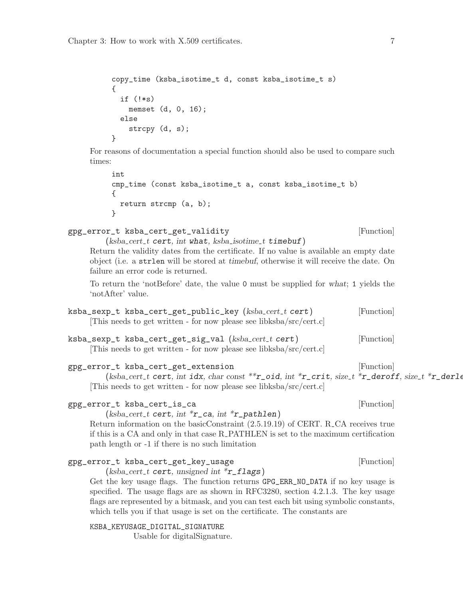```
copy_time (ksba_isotime_t d, const ksba_isotime_t s)
{
  if (!*s)
    memset (d, 0, 16);
  else
    strcpy (d, s);
}
```
For reasons of documentation a special function should also be used to compare such times:

```
int
cmp_time (const ksba_isotime_t a, const ksba_isotime_t b)
{
 return strcmp (a, b);
}
```
gpg\_error\_t ksba\_cert\_get\_validity  $[Function]$ 

 $(ksba_cert_t cert, int what, ksha_isotime_t timebuf)$ 

Return the validity dates from the certificate. If no value is available an empty date object (i.e. a strlen will be stored at timebuf, otherwise it will receive the date. On failure an error code is returned.

To return the 'notBefore' date, the value 0 must be supplied for what; 1 yields the 'notAfter' value.

- ksba\_sexp\_t ksba\_cert\_get\_public\_key (ksba\_cert\_t cert) [Function] [This needs to get written - for now please see libksba/src/cert.c]
- ksba\_sexp\_t ksba\_cert\_get\_sig\_val (ksba\_cert\_t cert) [Function] [This needs to get written - for now please see libksba/src/cert.c]

## gpg\_error\_t ksba\_cert\_get\_extension density and resolution in the set of  $[Function]$

(ksba\_cert\_t cert, int idx, char const \*\* r\_oid, int \* r\_crit, size\_t \* r\_deroff, size\_t \* r\_derlen) [This needs to get written - for now please see libksba/src/cert.c]

## gpg\_error\_t ksba\_cert\_is\_ca [Function]

 $(ksba_cert_t cert, int *r_cca, int *r_pathlen)$ 

Return information on the basicConstraint (2.5.19.19) of CERT. R CA receives true if this is a CA and only in that case R PATHLEN is set to the maximum certification path length or -1 if there is no such limitation

## gpg\_error\_t ksba\_cert\_get\_key\_usage [Function]

 $(ksba_cert_t cert, unsigned int *r_flags)$ Get the key usage flags. The function returns GPG\_ERR\_NO\_DATA if no key usage is specified. The usage flags are as shown in RFC3280, section 4.2.1.3. The key usage flags are represented by a bitmask, and you can test each bit using symbolic constants, which tells you if that usage is set on the certificate. The constants are

KSBA\_KEYUSAGE\_DIGITAL\_SIGNATURE

Usable for digitalSignature.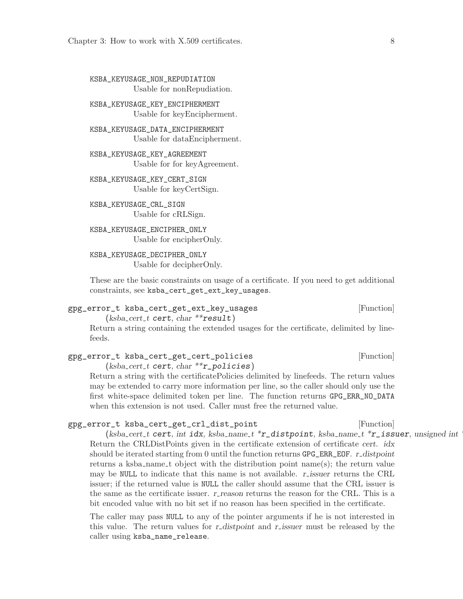<span id="page-14-0"></span>KSBA\_KEYUSAGE\_NON\_REPUDIATION Usable for nonRepudiation.

KSBA\_KEYUSAGE\_KEY\_ENCIPHERMENT Usable for keyEncipherment.

KSBA\_KEYUSAGE\_DATA\_ENCIPHERMENT Usable for dataEncipherment.

KSBA\_KEYUSAGE\_KEY\_AGREEMENT Usable for for keyAgreement.

KSBA\_KEYUSAGE\_KEY\_CERT\_SIGN Usable for keyCertSign.

KSBA\_KEYUSAGE\_CRL\_SIGN Usable for cRLSign.

KSBA\_KEYUSAGE\_ENCIPHER\_ONLY Usable for encipherOnly.

KSBA\_KEYUSAGE\_DECIPHER\_ONLY Usable for decipherOnly.

These are the basic constraints on usage of a certificate. If you need to get additional constraints, see ksba\_cert\_get\_ext\_key\_usages.

gpg\_error\_t ksba\_cert\_get\_ext\_key\_usages [Function]  $(ksba_cert_t cert, char **result)$ 

Return a string containing the extended usages for the certificate, delimited by linefeeds.

gpg\_error\_t ksba\_cert\_get\_cert\_policies [Function]  $(ksba_cert_t cert, char **r_policies)$ 

Return a string with the certificatePolicies delimited by linefeeds. The return values may be extended to carry more information per line, so the caller should only use the first white-space delimited token per line. The function returns GPG\_ERR\_NO\_DATA when this extension is not used. Caller must free the returned value.

### gpg\_error\_t ksba\_cert\_get\_crl\_dist\_point [Function]

(ksba cert t cert, int idx, ksba name t \*r\_distpoint, ksba name t \*r\_issuer, unsigned int Return the CRLDistPoints given in the certificate extension of certificate cert. idx should be iterated starting from 0 until the function returns  $GPG$  ERR\_EOF. r distpoint returns a ksba name t object with the distribution point name(s); the return value may be NULL to indicate that this name is not available.  $r_{\text{-}}$  issuer returns the CRL issuer; if the returned value is NULL the caller should assume that the CRL issuer is the same as the certificate issuer. r\_reason returns the reason for the CRL. This is a bit encoded value with no bit set if no reason has been specified in the certificate.

The caller may pass NULL to any of the pointer arguments if he is not interested in this value. The return values for r-distpoint and r-issuer must be released by the caller using ksba\_name\_release.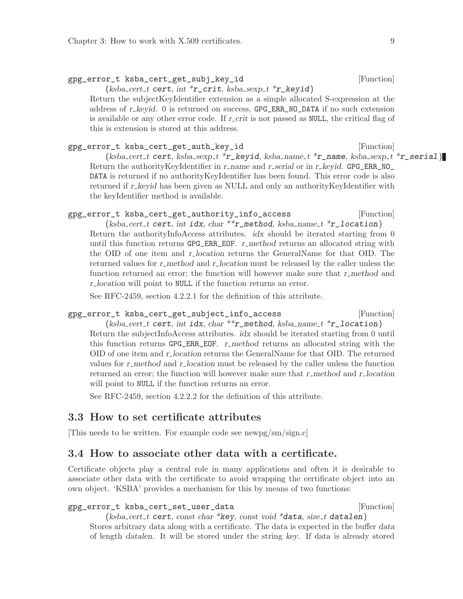### <span id="page-15-0"></span>gpg\_error\_t ksba\_cert\_get\_subj\_key\_id [Function]

 $(ksba_cert_t cert, int *r_ccrit, ksha_sexp_t *r_keyid)$ 

Return the subjectKeyIdentifier extension as a simple allocated S-expression at the address of  $r$ <sub>-</sub> keyid. 0 is returned on success,  $GPG$ <sub>-ERR\_NO\_DATA</sub> if no such extension is available or any other error code. If  $r\text{-}crit$  is not passed as NULL, the critical flag of this is extension is stored at this address.

## gpg\_error\_t ksba\_cert\_get\_auth\_key\_id [Function]

 $(ksba_cert_t \text{ cert}, ksha_sexp_t * r_keyid, ksha_name_t * r_name, ksha_sexp_t * r_sesrial)$ Return the authorityKeyIdentifier in r\_name and r\_serial or in r\_keyid. GPG\_ERR\_NO\_ DATA is returned if no authorityKeyIdentifier has been found. This error code is also returned if r\_keyid has been given as NULL and only an authority KeyIdentifier with the keyIdentifier method is available.

## gpg\_error\_t ksba\_cert\_get\_authority\_info\_access [Function]

(ksba\_cert\_t cert, int idx, char \*\*  $r$ \_method, ksba\_name\_t \* $r$ \_location) Return the authorityInfoAccess attributes. *idx* should be iterated starting from 0 until this function returns  $GPG$ \_ERR\_EOF. r\_method returns an allocated string with the OID of one item and r-location returns the GeneralName for that OID. The returned values for r\_method and r\_location must be released by the caller unless the function returned an error; the function will however make sure that r\_method and r location will point to NULL if the function returns an error.

See RFC-2459, section 4.2.2.1 for the definition of this attribute.

## gpg\_error\_t ksba\_cert\_get\_subject\_info\_access [Function]

(ksba\_cert\_t cert, int idx, char \*\*  $r$ \_method, ksba\_name\_t \* $r$ \_location) Return the subjectInfoAccess attributes. idx should be iterated starting from 0 until this function returns  $GPG$  ERR EOF. r method returns an allocated string with the OID of one item and r-location returns the GeneralName for that OID. The returned values for r\_method and r\_location must be released by the caller unless the function returned an error; the function will however make sure that r\_method and r\_location will point to NULL if the function returns an error.

See RFC-2459, section 4.2.2.2 for the definition of this attribute.

## 3.3 How to set certificate attributes

[This needs to be written. For example code see newpg/sm/sign.c]

## 3.4 How to associate other data with a certificate.

Certificate objects play a central role in many applications and often it is desirable to associate other data with the certificate to avoid wrapping the certificate object into an own object. 'KSBA' provides a mechanism for this by means of two functions:

#### gpg\_error\_t ksba\_cert\_set\_user\_data [Function]

 $(ksba_cert_t cert, const char *key, const void *data, size_t datalen)$ Stores arbitrary data along with a certificate. The data is expected in the buffer data of length datalen. It will be stored under the string key. If data is already stored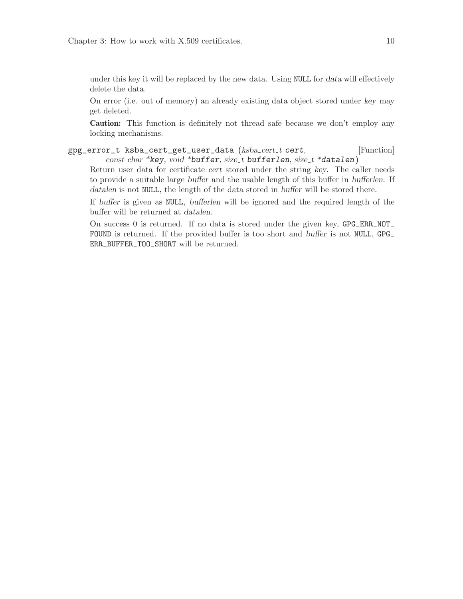<span id="page-16-0"></span>under this key it will be replaced by the new data. Using NULL for data will effectively delete the data.

On error (i.e. out of memory) an already existing data object stored under key may get deleted.

Caution: This function is definitely not thread safe because we don't employ any locking mechanisms.

gpg\_error\_t ksba\_cert\_get\_user\_data (ksba\_cert\_t cert, [Function] const char \*key, void \*buffer, size t bufferlen, size t \*datalen)

Return user data for certificate cert stored under the string key. The caller needs to provide a suitable large buffer and the usable length of this buffer in bufferlen. If datalen is not NULL, the length of the data stored in buffer will be stored there.

If buffer is given as NULL, bufferlen will be ignored and the required length of the buffer will be returned at datalen.

On success 0 is returned. If no data is stored under the given key, GPG\_ERR\_NOT\_ FOUND is returned. If the provided buffer is too short and buffer is not NULL, GPG\_ ERR\_BUFFER\_TOO\_SHORT will be returned.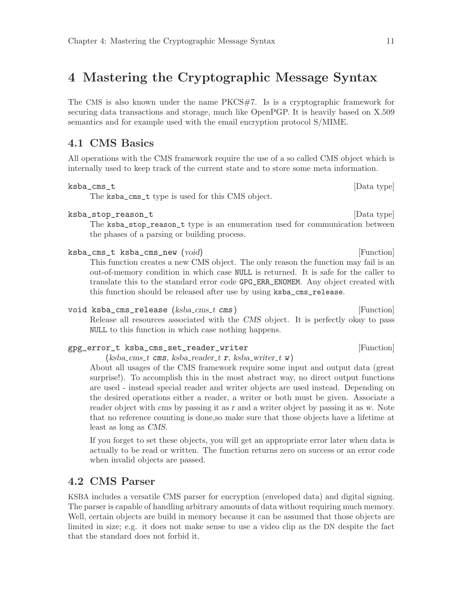## <span id="page-17-0"></span>4 Mastering the Cryptographic Message Syntax

The CMS is also known under the name PKCS#7. Is is a cryptographic framework for securing data transactions and storage, much like OpenPGP. It is heavily based on X.509 semantics and for example used with the email encryption protocol S/MIME.

## 4.1 CMS Basics

All operations with the CMS framework require the use of a so called CMS object which is internally used to keep track of the current state and to store some meta information.

ksba\_cms\_t [Data type]

The ksba\_cms\_t type is used for this CMS object.

ksba\_stop\_reason\_t [Data type]

The ksba\_stop\_reason\_t type is an enumeration used for communication between the phases of a parsing or building process.

- ksba\_cms\_t ksba\_cms\_new (void) [Function] This function creates a new CMS object. The only reason the function may fail is an out-of-memory condition in which case NULL is returned. It is safe for the caller to translate this to the standard error code GPG\_ERR\_ENOMEM. Any object created with this function should be released after use by using ksba\_cms\_release.
- void ksba\_cms\_release (ksba\_cms\_t cms) [Function] Release all resources associated with the CMS object. It is perfectly okay to pass NULL to this function in which case nothing happens.

gpg\_error\_t ksba\_cms\_set\_reader\_writer  $[Function]$  $(ksba\_cms\_t$  cms, ksba\_reader\_t r, ksba\_writer\_t w)

About all usages of the CMS framework require some input and output data (great surprise!). To accomplish this in the most abstract way, no direct output functions are used - instead special reader and writer objects are used instead. Depending on the desired operations either a reader, a writer or both must be given. Associate a reader object with cms by passing it as r and a writer object by passing it as w. Note that no reference counting is done,so make sure that those objects have a lifetime at least as long as CMS.

If you forget to set these objects, you will get an appropriate error later when data is actually to be read or written. The function returns zero on success or an error code when invalid objects are passed.

## 4.2 CMS Parser

KSBA includes a versatile CMS parser for encryption (enveloped data) and digital signing. The parser is capable of handling arbitrary amounts of data without requiring much memory. Well, certain objects are build in memory because it can be assumed that those objects are limited in size; e.g. it does not make sense to use a video clip as the DN despite the fact that the standard does not forbid it.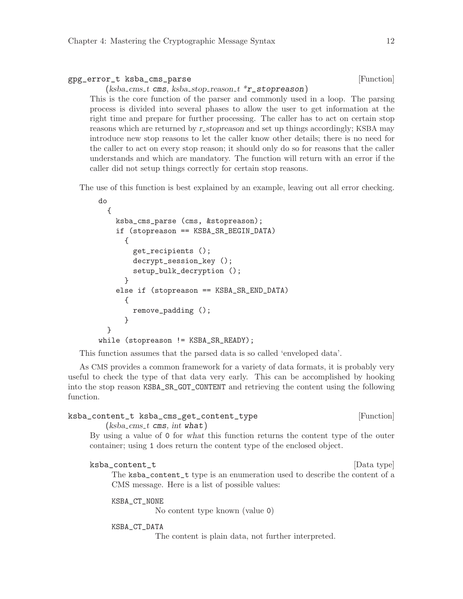<span id="page-18-0"></span>

| gpg_error_t ksba_cms_parse                                       | [Function] |
|------------------------------------------------------------------|------------|
| $(ksba\_cms_t \text{ cms}, ksba\_stop\_reason_t *r\_stopreason)$ |            |

This is the core function of the parser and commonly used in a loop. The parsing process is divided into several phases to allow the user to get information at the right time and prepare for further processing. The caller has to act on certain stop reasons which are returned by r\_stopreason and set up things accordingly; KSBA may introduce new stop reasons to let the caller know other details; there is no need for the caller to act on every stop reason; it should only do so for reasons that the caller understands and which are mandatory. The function will return with an error if the caller did not setup things correctly for certain stop reasons.

The use of this function is best explained by an example, leaving out all error checking.

```
do
  {
    ksba_cms_parse (cms, &stopreason);
    if (stopreason == KSBA_SR_BEGIN_DATA)
      {
        get_recipients ();
        decrypt_session_key ();
        setup_bulk_decryption ();
      }
    else if (stopreason == KSBA_SR_END_DATA)
      {
        remove_padding ();
      }
  }
while (stopreason != KSBA_SR_READY);
```
This function assumes that the parsed data is so called 'enveloped data'.

As CMS provides a common framework for a variety of data formats, it is probably very useful to check the type of that data very early. This can be accomplished by hooking into the stop reason KSBA\_SR\_GOT\_CONTENT and retrieving the content using the following function.

```
ksba_content_t ksba_cms_get_content_type [Function]
```
 $(ksba\_cms_t \text{ cm} s, \text{ int what})$ 

By using a value of 0 for what this function returns the content type of the outer container; using 1 does return the content type of the enclosed object.

#### ksba\_content\_t [Data type]

The ksba\_content\_t type is an enumeration used to describe the content of a CMS message. Here is a list of possible values:

KSBA\_CT\_NONE

No content type known (value 0)

#### KSBA\_CT\_DATA

The content is plain data, not further interpreted.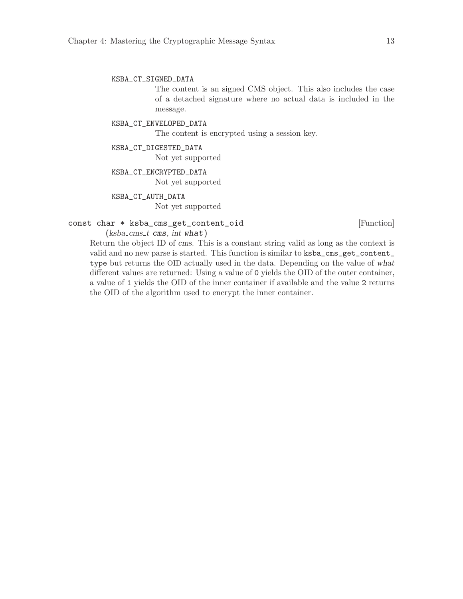<span id="page-19-0"></span>KSBA\_CT\_SIGNED\_DATA

The content is an signed CMS object. This also includes the case of a detached signature where no actual data is included in the message.

KSBA\_CT\_ENVELOPED\_DATA

The content is encrypted using a session key.

#### KSBA\_CT\_DIGESTED\_DATA

Not yet supported

#### KSBA\_CT\_ENCRYPTED\_DATA

Not yet supported

#### KSBA\_CT\_AUTH\_DATA

Not yet supported

## const char \* ksba\_cms\_get\_content\_oid [Function]

 $(ksba\_cms_t \text{ cms}, \text{int what})$ 

Return the object ID of cms. This is a constant string valid as long as the context is valid and no new parse is started. This function is similar to ksba\_cms\_get\_content\_ type but returns the OID actually used in the data. Depending on the value of what different values are returned: Using a value of 0 yields the OID of the outer container, a value of 1 yields the OID of the inner container if available and the value 2 returns the OID of the algorithm used to encrypt the inner container.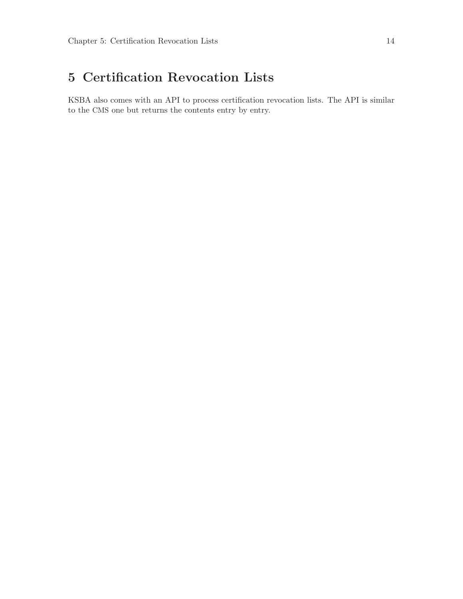# <span id="page-20-0"></span>5 Certification Revocation Lists

KSBA also comes with an API to process certification revocation lists. The API is similar to the CMS one but returns the contents entry by entry.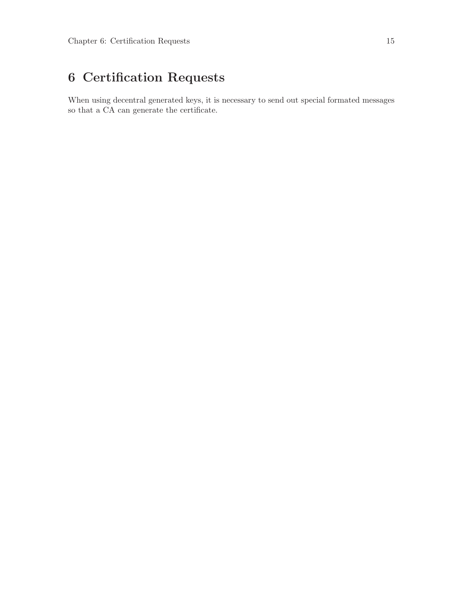# <span id="page-21-0"></span>6 Certification Requests

When using decentral generated keys, it is necessary to send out special formated messages so that a CA can generate the certificate.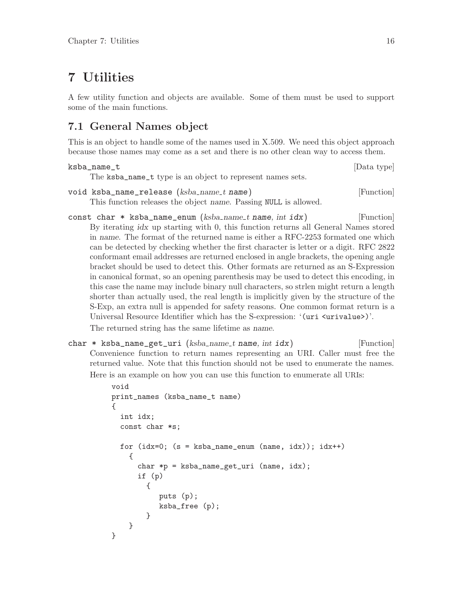## <span id="page-22-0"></span>7 Utilities

A few utility function and objects are available. Some of them must be used to support some of the main functions.

## 7.1 General Names object

This is an object to handle some of the names used in X.509. We need this object approach because those names may come as a set and there is no other clean way to access them.

```
ksba_name_t [Data type]
   The ksba_name_t type is an object to represent names sets.
void ksba_name_release (ksba_name_t name) [Function]
```
This function releases the object name. Passing NULL is allowed.

const char  $*$  ksba\_name\_enum (ksba\_name\_t name, int idx) [Function] By iterating idx up starting with 0, this function returns all General Names stored in name. The format of the returned name is either a RFC-2253 formated one which can be detected by checking whether the first character is letter or a digit. RFC 2822 conformant email addresses are returned enclosed in angle brackets, the opening angle bracket should be used to detect this. Other formats are returned as an S-Expression in canonical format, so an opening parenthesis may be used to detect this encoding, in this case the name may include binary null characters, so strlen might return a length shorter than actually used, the real length is implicitly given by the structure of the S-Exp, an extra null is appended for safety reasons. One common format return is a Universal Resource Identifier which has the S-expression: '(uri <urivalue>)'.

The returned string has the same lifetime as name.

char \* ksba\_name\_get\_uri  $(ksba_name_t \text{ name}, \text{int } i\,dx)$  [Function] Convenience function to return names representing an URI. Caller must free the returned value. Note that this function should not be used to enumerate the names. Here is an example on how you can use this function to enumerate all URIs:

```
void
print_names (ksba_name_t name)
{
  int idx;
  const char *s;
  for (\text{idx}=0; (s = ksba_name_enum (name, idx)); idx++){
      char *p = ksha_name.get_uri (name, idx);
      if (p)
        {
           puts (p);
           ksba_free (p);
        }
    }
}
```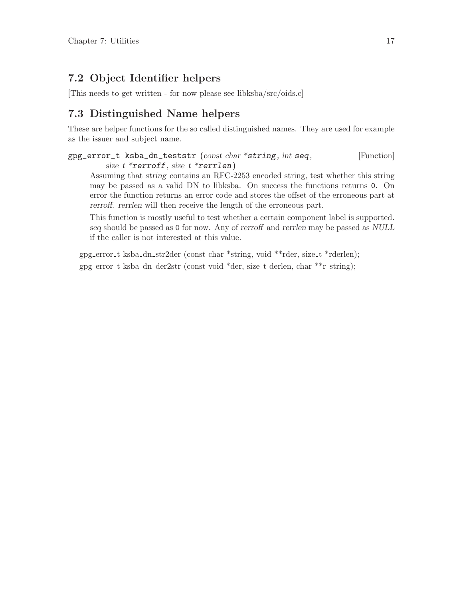## <span id="page-23-0"></span>7.2 Object Identifier helpers

[This needs to get written - for now please see libksba/src/oids.c]

## 7.3 Distinguished Name helpers

These are helper functions for the so called distinguished names. They are used for example as the issuer and subject name.

```
gpg_error_t ksba_dn_teststr (const char *string, int seq, [Function]
        size_t * errorff, size_t * rerrlen)
```
Assuming that string contains an RFC-2253 encoded string, test whether this string may be passed as a valid DN to libksba. On success the functions returns 0. On error the function returns an error code and stores the offset of the erroneous part at rerroff. rerrlen will then receive the length of the erroneous part.

This function is mostly useful to test whether a certain component label is supported. seq should be passed as 0 for now. Any of rerroff and rerrlen may be passed as NULL if the caller is not interested at this value.

gpg error t ksba dn str2der (const char \*string, void \*\*rder, size t \*rderlen); gpg error t ksba dn der2str (const void \*der, size t derlen, char \*\*r string);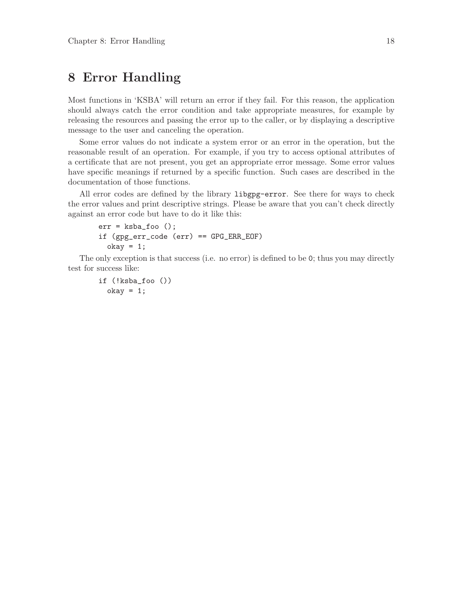## <span id="page-24-0"></span>8 Error Handling

Most functions in 'KSBA' will return an error if they fail. For this reason, the application should always catch the error condition and take appropriate measures, for example by releasing the resources and passing the error up to the caller, or by displaying a descriptive message to the user and canceling the operation.

Some error values do not indicate a system error or an error in the operation, but the reasonable result of an operation. For example, if you try to access optional attributes of a certificate that are not present, you get an appropriate error message. Some error values have specific meanings if returned by a specific function. Such cases are described in the documentation of those functions.

All error codes are defined by the library libgpg-error. See there for ways to check the error values and print descriptive strings. Please be aware that you can't check directly against an error code but have to do it like this:

```
err = ksba_foo ();
if (gpg_err_code (err) == GPG_ERR_EOF)
  okay = 1;
```
The only exception is that success (i.e. no error) is defined to be 0; thus you may directly test for success like:

```
if (!ksba_foo ())
  okay = 1;
```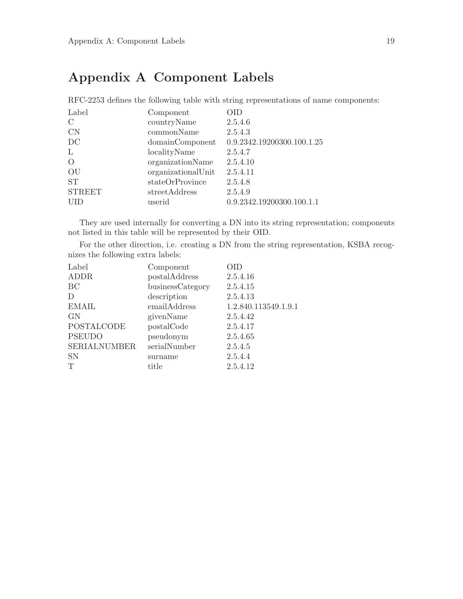## <span id="page-25-0"></span>Appendix A Component Labels

RFC-2253 defines the following table with string representations of name components: Label Component OID C countryName 2.5.4.6 CN commonName 2.5.4.3 DC domainComponent 0.9.2342.19200300.100.1.25 L localityName 2.5.4.7 O organizationName 2.5.4.10 OU organizationalUnit 2.5.4.11 ST stateOrProvince 2.5.4.8 STREET streetAddress 2.5.4.9 UID userid 0.9.2342.19200300.100.1.1

They are used internally for converting a DN into its string representation; components not listed in this table will be represented by their OID.

For the other direction, i.e. creating a DN from the string representation, KSBA recognizes the following extra labels:

| Label               | Component        | )ID                  |
|---------------------|------------------|----------------------|
| <b>ADDR</b>         | postalAddress    | 2.5.4.16             |
| BC                  | businessCategory | 2.5.4.15             |
| D                   | description      | 2.5.4.13             |
| <b>EMAIL</b>        | emailAddress     | 1.2.840.113549.1.9.1 |
| <b>GN</b>           | givenName        | 2.5.4.42             |
| POSTALCODE          | postalCode       | 2.5.4.17             |
| <b>PSEUDO</b>       | pseudonym        | 2.5.4.65             |
| <b>SERIALNUMBER</b> | serialNumber     | 2.5.4.5              |
| <b>SN</b>           | surname          | 2.5.4.4              |
| T                   | title            | 2.5.4.12             |
|                     |                  |                      |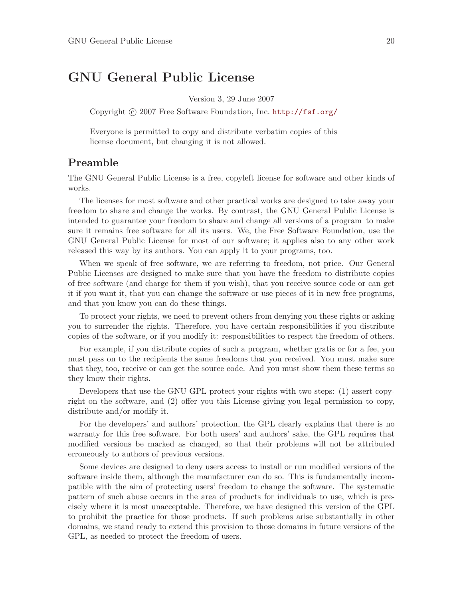## <span id="page-26-0"></span>GNU General Public License

Version 3, 29 June 2007

Copyright © 2007 Free Software Foundation, Inc. <http://fsf.org/>

Everyone is permitted to copy and distribute verbatim copies of this license document, but changing it is not allowed.

## Preamble

The GNU General Public License is a free, copyleft license for software and other kinds of works.

The licenses for most software and other practical works are designed to take away your freedom to share and change the works. By contrast, the GNU General Public License is intended to guarantee your freedom to share and change all versions of a program–to make sure it remains free software for all its users. We, the Free Software Foundation, use the GNU General Public License for most of our software; it applies also to any other work released this way by its authors. You can apply it to your programs, too.

When we speak of free software, we are referring to freedom, not price. Our General Public Licenses are designed to make sure that you have the freedom to distribute copies of free software (and charge for them if you wish), that you receive source code or can get it if you want it, that you can change the software or use pieces of it in new free programs, and that you know you can do these things.

To protect your rights, we need to prevent others from denying you these rights or asking you to surrender the rights. Therefore, you have certain responsibilities if you distribute copies of the software, or if you modify it: responsibilities to respect the freedom of others.

For example, if you distribute copies of such a program, whether gratis or for a fee, you must pass on to the recipients the same freedoms that you received. You must make sure that they, too, receive or can get the source code. And you must show them these terms so they know their rights.

Developers that use the GNU GPL protect your rights with two steps: (1) assert copyright on the software, and (2) offer you this License giving you legal permission to copy, distribute and/or modify it.

For the developers' and authors' protection, the GPL clearly explains that there is no warranty for this free software. For both users' and authors' sake, the GPL requires that modified versions be marked as changed, so that their problems will not be attributed erroneously to authors of previous versions.

Some devices are designed to deny users access to install or run modified versions of the software inside them, although the manufacturer can do so. This is fundamentally incompatible with the aim of protecting users' freedom to change the software. The systematic pattern of such abuse occurs in the area of products for individuals to use, which is precisely where it is most unacceptable. Therefore, we have designed this version of the GPL to prohibit the practice for those products. If such problems arise substantially in other domains, we stand ready to extend this provision to those domains in future versions of the GPL, as needed to protect the freedom of users.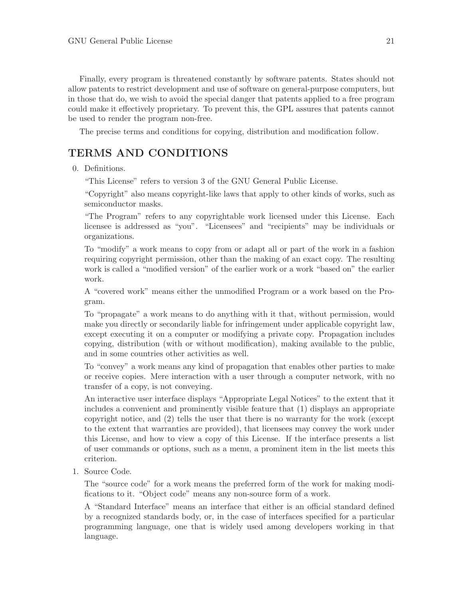<span id="page-27-0"></span>Finally, every program is threatened constantly by software patents. States should not allow patents to restrict development and use of software on general-purpose computers, but in those that do, we wish to avoid the special danger that patents applied to a free program could make it effectively proprietary. To prevent this, the GPL assures that patents cannot be used to render the program non-free.

The precise terms and conditions for copying, distribution and modification follow.

## TERMS AND CONDITIONS

0. Definitions.

"This License" refers to version 3 of the GNU General Public License.

"Copyright" also means copyright-like laws that apply to other kinds of works, such as semiconductor masks.

"The Program" refers to any copyrightable work licensed under this License. Each licensee is addressed as "you". "Licensees" and "recipients" may be individuals or organizations.

To "modify" a work means to copy from or adapt all or part of the work in a fashion requiring copyright permission, other than the making of an exact copy. The resulting work is called a "modified version" of the earlier work or a work "based on" the earlier work.

A "covered work" means either the unmodified Program or a work based on the Program.

To "propagate" a work means to do anything with it that, without permission, would make you directly or secondarily liable for infringement under applicable copyright law, except executing it on a computer or modifying a private copy. Propagation includes copying, distribution (with or without modification), making available to the public, and in some countries other activities as well.

To "convey" a work means any kind of propagation that enables other parties to make or receive copies. Mere interaction with a user through a computer network, with no transfer of a copy, is not conveying.

An interactive user interface displays "Appropriate Legal Notices" to the extent that it includes a convenient and prominently visible feature that (1) displays an appropriate copyright notice, and (2) tells the user that there is no warranty for the work (except to the extent that warranties are provided), that licensees may convey the work under this License, and how to view a copy of this License. If the interface presents a list of user commands or options, such as a menu, a prominent item in the list meets this criterion.

1. Source Code.

The "source code" for a work means the preferred form of the work for making modifications to it. "Object code" means any non-source form of a work.

A "Standard Interface" means an interface that either is an official standard defined by a recognized standards body, or, in the case of interfaces specified for a particular programming language, one that is widely used among developers working in that language.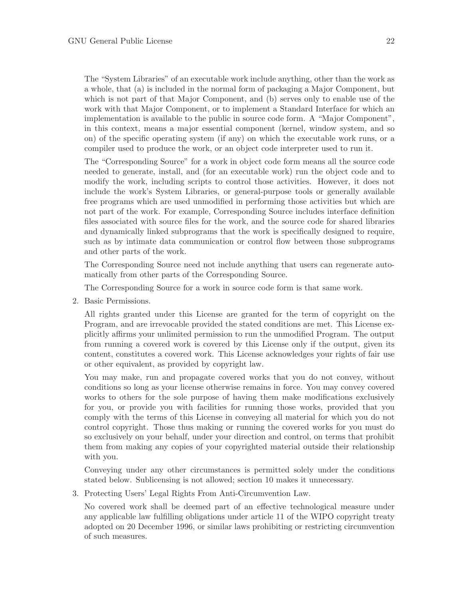The "System Libraries" of an executable work include anything, other than the work as a whole, that (a) is included in the normal form of packaging a Major Component, but which is not part of that Major Component, and (b) serves only to enable use of the work with that Major Component, or to implement a Standard Interface for which an implementation is available to the public in source code form. A "Major Component", in this context, means a major essential component (kernel, window system, and so on) of the specific operating system (if any) on which the executable work runs, or a compiler used to produce the work, or an object code interpreter used to run it.

The "Corresponding Source" for a work in object code form means all the source code needed to generate, install, and (for an executable work) run the object code and to modify the work, including scripts to control those activities. However, it does not include the work's System Libraries, or general-purpose tools or generally available free programs which are used unmodified in performing those activities but which are not part of the work. For example, Corresponding Source includes interface definition files associated with source files for the work, and the source code for shared libraries and dynamically linked subprograms that the work is specifically designed to require, such as by intimate data communication or control flow between those subprograms and other parts of the work.

The Corresponding Source need not include anything that users can regenerate automatically from other parts of the Corresponding Source.

The Corresponding Source for a work in source code form is that same work.

2. Basic Permissions.

All rights granted under this License are granted for the term of copyright on the Program, and are irrevocable provided the stated conditions are met. This License explicitly affirms your unlimited permission to run the unmodified Program. The output from running a covered work is covered by this License only if the output, given its content, constitutes a covered work. This License acknowledges your rights of fair use or other equivalent, as provided by copyright law.

You may make, run and propagate covered works that you do not convey, without conditions so long as your license otherwise remains in force. You may convey covered works to others for the sole purpose of having them make modifications exclusively for you, or provide you with facilities for running those works, provided that you comply with the terms of this License in conveying all material for which you do not control copyright. Those thus making or running the covered works for you must do so exclusively on your behalf, under your direction and control, on terms that prohibit them from making any copies of your copyrighted material outside their relationship with you.

Conveying under any other circumstances is permitted solely under the conditions stated below. Sublicensing is not allowed; section 10 makes it unnecessary.

3. Protecting Users' Legal Rights From Anti-Circumvention Law.

No covered work shall be deemed part of an effective technological measure under any applicable law fulfilling obligations under article 11 of the WIPO copyright treaty adopted on 20 December 1996, or similar laws prohibiting or restricting circumvention of such measures.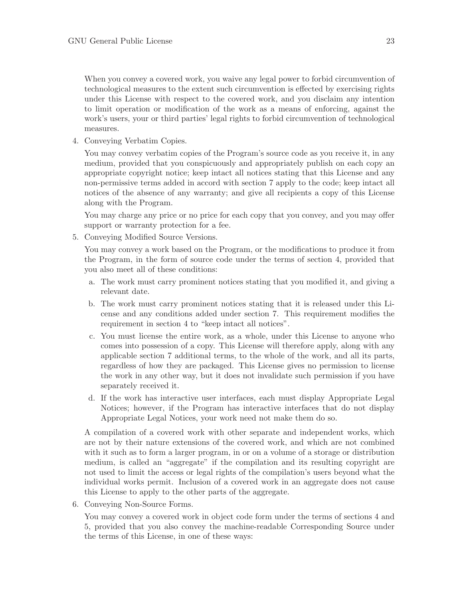When you convey a covered work, you waive any legal power to forbid circumvention of technological measures to the extent such circumvention is effected by exercising rights under this License with respect to the covered work, and you disclaim any intention to limit operation or modification of the work as a means of enforcing, against the work's users, your or third parties' legal rights to forbid circumvention of technological measures.

4. Conveying Verbatim Copies.

You may convey verbatim copies of the Program's source code as you receive it, in any medium, provided that you conspicuously and appropriately publish on each copy an appropriate copyright notice; keep intact all notices stating that this License and any non-permissive terms added in accord with section 7 apply to the code; keep intact all notices of the absence of any warranty; and give all recipients a copy of this License along with the Program.

You may charge any price or no price for each copy that you convey, and you may offer support or warranty protection for a fee.

5. Conveying Modified Source Versions.

You may convey a work based on the Program, or the modifications to produce it from the Program, in the form of source code under the terms of section 4, provided that you also meet all of these conditions:

- a. The work must carry prominent notices stating that you modified it, and giving a relevant date.
- b. The work must carry prominent notices stating that it is released under this License and any conditions added under section 7. This requirement modifies the requirement in section 4 to "keep intact all notices".
- c. You must license the entire work, as a whole, under this License to anyone who comes into possession of a copy. This License will therefore apply, along with any applicable section 7 additional terms, to the whole of the work, and all its parts, regardless of how they are packaged. This License gives no permission to license the work in any other way, but it does not invalidate such permission if you have separately received it.
- d. If the work has interactive user interfaces, each must display Appropriate Legal Notices; however, if the Program has interactive interfaces that do not display Appropriate Legal Notices, your work need not make them do so.

A compilation of a covered work with other separate and independent works, which are not by their nature extensions of the covered work, and which are not combined with it such as to form a larger program, in or on a volume of a storage or distribution medium, is called an "aggregate" if the compilation and its resulting copyright are not used to limit the access or legal rights of the compilation's users beyond what the individual works permit. Inclusion of a covered work in an aggregate does not cause this License to apply to the other parts of the aggregate.

6. Conveying Non-Source Forms.

You may convey a covered work in object code form under the terms of sections 4 and 5, provided that you also convey the machine-readable Corresponding Source under the terms of this License, in one of these ways: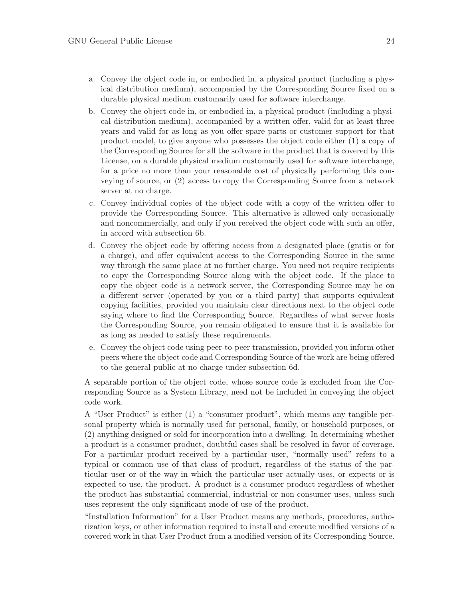- a. Convey the object code in, or embodied in, a physical product (including a physical distribution medium), accompanied by the Corresponding Source fixed on a durable physical medium customarily used for software interchange.
- b. Convey the object code in, or embodied in, a physical product (including a physical distribution medium), accompanied by a written offer, valid for at least three years and valid for as long as you offer spare parts or customer support for that product model, to give anyone who possesses the object code either (1) a copy of the Corresponding Source for all the software in the product that is covered by this License, on a durable physical medium customarily used for software interchange, for a price no more than your reasonable cost of physically performing this conveying of source, or (2) access to copy the Corresponding Source from a network server at no charge.
- c. Convey individual copies of the object code with a copy of the written offer to provide the Corresponding Source. This alternative is allowed only occasionally and noncommercially, and only if you received the object code with such an offer, in accord with subsection 6b.
- d. Convey the object code by offering access from a designated place (gratis or for a charge), and offer equivalent access to the Corresponding Source in the same way through the same place at no further charge. You need not require recipients to copy the Corresponding Source along with the object code. If the place to copy the object code is a network server, the Corresponding Source may be on a different server (operated by you or a third party) that supports equivalent copying facilities, provided you maintain clear directions next to the object code saying where to find the Corresponding Source. Regardless of what server hosts the Corresponding Source, you remain obligated to ensure that it is available for as long as needed to satisfy these requirements.
- e. Convey the object code using peer-to-peer transmission, provided you inform other peers where the object code and Corresponding Source of the work are being offered to the general public at no charge under subsection 6d.

A separable portion of the object code, whose source code is excluded from the Corresponding Source as a System Library, need not be included in conveying the object code work.

A "User Product" is either (1) a "consumer product", which means any tangible personal property which is normally used for personal, family, or household purposes, or (2) anything designed or sold for incorporation into a dwelling. In determining whether a product is a consumer product, doubtful cases shall be resolved in favor of coverage. For a particular product received by a particular user, "normally used" refers to a typical or common use of that class of product, regardless of the status of the particular user or of the way in which the particular user actually uses, or expects or is expected to use, the product. A product is a consumer product regardless of whether the product has substantial commercial, industrial or non-consumer uses, unless such uses represent the only significant mode of use of the product.

"Installation Information" for a User Product means any methods, procedures, authorization keys, or other information required to install and execute modified versions of a covered work in that User Product from a modified version of its Corresponding Source.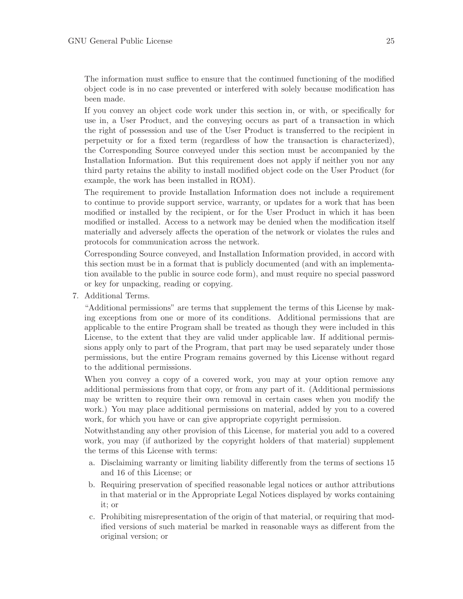The information must suffice to ensure that the continued functioning of the modified object code is in no case prevented or interfered with solely because modification has been made.

If you convey an object code work under this section in, or with, or specifically for use in, a User Product, and the conveying occurs as part of a transaction in which the right of possession and use of the User Product is transferred to the recipient in perpetuity or for a fixed term (regardless of how the transaction is characterized), the Corresponding Source conveyed under this section must be accompanied by the Installation Information. But this requirement does not apply if neither you nor any third party retains the ability to install modified object code on the User Product (for example, the work has been installed in ROM).

The requirement to provide Installation Information does not include a requirement to continue to provide support service, warranty, or updates for a work that has been modified or installed by the recipient, or for the User Product in which it has been modified or installed. Access to a network may be denied when the modification itself materially and adversely affects the operation of the network or violates the rules and protocols for communication across the network.

Corresponding Source conveyed, and Installation Information provided, in accord with this section must be in a format that is publicly documented (and with an implementation available to the public in source code form), and must require no special password or key for unpacking, reading or copying.

7. Additional Terms.

"Additional permissions" are terms that supplement the terms of this License by making exceptions from one or more of its conditions. Additional permissions that are applicable to the entire Program shall be treated as though they were included in this License, to the extent that they are valid under applicable law. If additional permissions apply only to part of the Program, that part may be used separately under those permissions, but the entire Program remains governed by this License without regard to the additional permissions.

When you convey a copy of a covered work, you may at your option remove any additional permissions from that copy, or from any part of it. (Additional permissions may be written to require their own removal in certain cases when you modify the work.) You may place additional permissions on material, added by you to a covered work, for which you have or can give appropriate copyright permission.

Notwithstanding any other provision of this License, for material you add to a covered work, you may (if authorized by the copyright holders of that material) supplement the terms of this License with terms:

- a. Disclaiming warranty or limiting liability differently from the terms of sections 15 and 16 of this License; or
- b. Requiring preservation of specified reasonable legal notices or author attributions in that material or in the Appropriate Legal Notices displayed by works containing it; or
- c. Prohibiting misrepresentation of the origin of that material, or requiring that modified versions of such material be marked in reasonable ways as different from the original version; or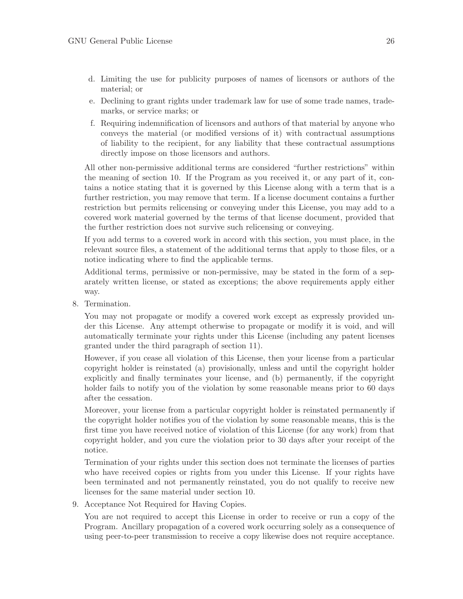- d. Limiting the use for publicity purposes of names of licensors or authors of the material; or
- e. Declining to grant rights under trademark law for use of some trade names, trademarks, or service marks; or
- f. Requiring indemnification of licensors and authors of that material by anyone who conveys the material (or modified versions of it) with contractual assumptions of liability to the recipient, for any liability that these contractual assumptions directly impose on those licensors and authors.

All other non-permissive additional terms are considered "further restrictions" within the meaning of section 10. If the Program as you received it, or any part of it, contains a notice stating that it is governed by this License along with a term that is a further restriction, you may remove that term. If a license document contains a further restriction but permits relicensing or conveying under this License, you may add to a covered work material governed by the terms of that license document, provided that the further restriction does not survive such relicensing or conveying.

If you add terms to a covered work in accord with this section, you must place, in the relevant source files, a statement of the additional terms that apply to those files, or a notice indicating where to find the applicable terms.

Additional terms, permissive or non-permissive, may be stated in the form of a separately written license, or stated as exceptions; the above requirements apply either way.

8. Termination.

You may not propagate or modify a covered work except as expressly provided under this License. Any attempt otherwise to propagate or modify it is void, and will automatically terminate your rights under this License (including any patent licenses granted under the third paragraph of section 11).

However, if you cease all violation of this License, then your license from a particular copyright holder is reinstated (a) provisionally, unless and until the copyright holder explicitly and finally terminates your license, and (b) permanently, if the copyright holder fails to notify you of the violation by some reasonable means prior to 60 days after the cessation.

Moreover, your license from a particular copyright holder is reinstated permanently if the copyright holder notifies you of the violation by some reasonable means, this is the first time you have received notice of violation of this License (for any work) from that copyright holder, and you cure the violation prior to 30 days after your receipt of the notice.

Termination of your rights under this section does not terminate the licenses of parties who have received copies or rights from you under this License. If your rights have been terminated and not permanently reinstated, you do not qualify to receive new licenses for the same material under section 10.

9. Acceptance Not Required for Having Copies.

You are not required to accept this License in order to receive or run a copy of the Program. Ancillary propagation of a covered work occurring solely as a consequence of using peer-to-peer transmission to receive a copy likewise does not require acceptance.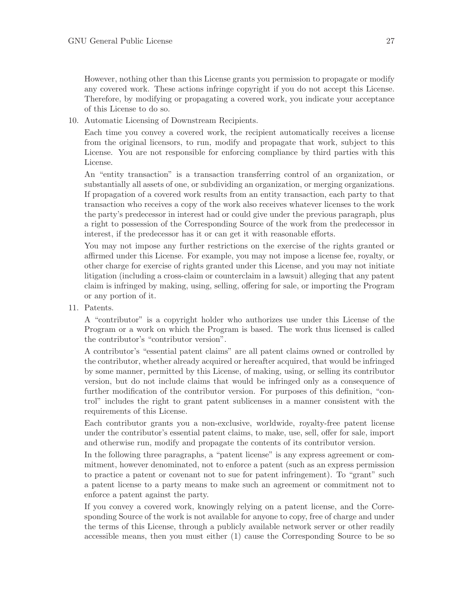However, nothing other than this License grants you permission to propagate or modify any covered work. These actions infringe copyright if you do not accept this License. Therefore, by modifying or propagating a covered work, you indicate your acceptance of this License to do so.

10. Automatic Licensing of Downstream Recipients.

Each time you convey a covered work, the recipient automatically receives a license from the original licensors, to run, modify and propagate that work, subject to this License. You are not responsible for enforcing compliance by third parties with this License.

An "entity transaction" is a transaction transferring control of an organization, or substantially all assets of one, or subdividing an organization, or merging organizations. If propagation of a covered work results from an entity transaction, each party to that transaction who receives a copy of the work also receives whatever licenses to the work the party's predecessor in interest had or could give under the previous paragraph, plus a right to possession of the Corresponding Source of the work from the predecessor in interest, if the predecessor has it or can get it with reasonable efforts.

You may not impose any further restrictions on the exercise of the rights granted or affirmed under this License. For example, you may not impose a license fee, royalty, or other charge for exercise of rights granted under this License, and you may not initiate litigation (including a cross-claim or counterclaim in a lawsuit) alleging that any patent claim is infringed by making, using, selling, offering for sale, or importing the Program or any portion of it.

11. Patents.

A "contributor" is a copyright holder who authorizes use under this License of the Program or a work on which the Program is based. The work thus licensed is called the contributor's "contributor version".

A contributor's "essential patent claims" are all patent claims owned or controlled by the contributor, whether already acquired or hereafter acquired, that would be infringed by some manner, permitted by this License, of making, using, or selling its contributor version, but do not include claims that would be infringed only as a consequence of further modification of the contributor version. For purposes of this definition, "control" includes the right to grant patent sublicenses in a manner consistent with the requirements of this License.

Each contributor grants you a non-exclusive, worldwide, royalty-free patent license under the contributor's essential patent claims, to make, use, sell, offer for sale, import and otherwise run, modify and propagate the contents of its contributor version.

In the following three paragraphs, a "patent license" is any express agreement or commitment, however denominated, not to enforce a patent (such as an express permission to practice a patent or covenant not to sue for patent infringement). To "grant" such a patent license to a party means to make such an agreement or commitment not to enforce a patent against the party.

If you convey a covered work, knowingly relying on a patent license, and the Corresponding Source of the work is not available for anyone to copy, free of charge and under the terms of this License, through a publicly available network server or other readily accessible means, then you must either (1) cause the Corresponding Source to be so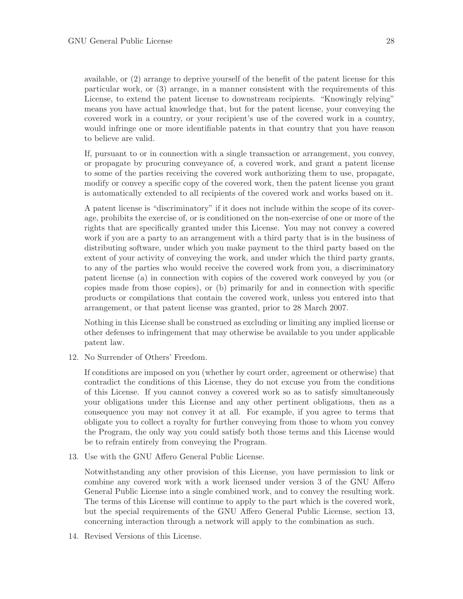available, or (2) arrange to deprive yourself of the benefit of the patent license for this particular work, or (3) arrange, in a manner consistent with the requirements of this License, to extend the patent license to downstream recipients. "Knowingly relying" means you have actual knowledge that, but for the patent license, your conveying the covered work in a country, or your recipient's use of the covered work in a country, would infringe one or more identifiable patents in that country that you have reason to believe are valid.

If, pursuant to or in connection with a single transaction or arrangement, you convey, or propagate by procuring conveyance of, a covered work, and grant a patent license to some of the parties receiving the covered work authorizing them to use, propagate, modify or convey a specific copy of the covered work, then the patent license you grant is automatically extended to all recipients of the covered work and works based on it.

A patent license is "discriminatory" if it does not include within the scope of its coverage, prohibits the exercise of, or is conditioned on the non-exercise of one or more of the rights that are specifically granted under this License. You may not convey a covered work if you are a party to an arrangement with a third party that is in the business of distributing software, under which you make payment to the third party based on the extent of your activity of conveying the work, and under which the third party grants, to any of the parties who would receive the covered work from you, a discriminatory patent license (a) in connection with copies of the covered work conveyed by you (or copies made from those copies), or (b) primarily for and in connection with specific products or compilations that contain the covered work, unless you entered into that arrangement, or that patent license was granted, prior to 28 March 2007.

Nothing in this License shall be construed as excluding or limiting any implied license or other defenses to infringement that may otherwise be available to you under applicable patent law.

12. No Surrender of Others' Freedom.

If conditions are imposed on you (whether by court order, agreement or otherwise) that contradict the conditions of this License, they do not excuse you from the conditions of this License. If you cannot convey a covered work so as to satisfy simultaneously your obligations under this License and any other pertinent obligations, then as a consequence you may not convey it at all. For example, if you agree to terms that obligate you to collect a royalty for further conveying from those to whom you convey the Program, the only way you could satisfy both those terms and this License would be to refrain entirely from conveying the Program.

13. Use with the GNU Affero General Public License.

Notwithstanding any other provision of this License, you have permission to link or combine any covered work with a work licensed under version 3 of the GNU Affero General Public License into a single combined work, and to convey the resulting work. The terms of this License will continue to apply to the part which is the covered work, but the special requirements of the GNU Affero General Public License, section 13, concerning interaction through a network will apply to the combination as such.

14. Revised Versions of this License.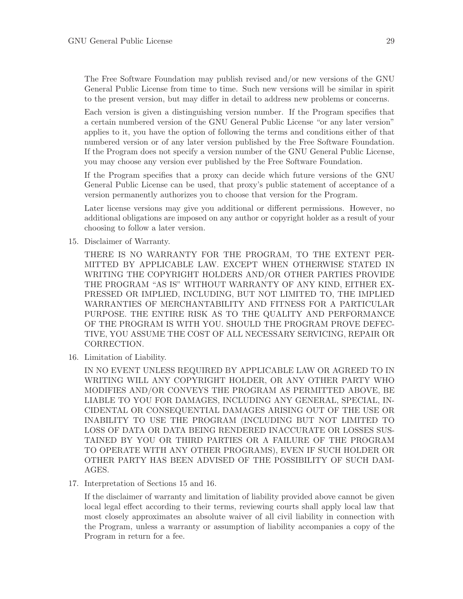The Free Software Foundation may publish revised and/or new versions of the GNU General Public License from time to time. Such new versions will be similar in spirit to the present version, but may differ in detail to address new problems or concerns.

Each version is given a distinguishing version number. If the Program specifies that a certain numbered version of the GNU General Public License "or any later version" applies to it, you have the option of following the terms and conditions either of that numbered version or of any later version published by the Free Software Foundation. If the Program does not specify a version number of the GNU General Public License, you may choose any version ever published by the Free Software Foundation.

If the Program specifies that a proxy can decide which future versions of the GNU General Public License can be used, that proxy's public statement of acceptance of a version permanently authorizes you to choose that version for the Program.

Later license versions may give you additional or different permissions. However, no additional obligations are imposed on any author or copyright holder as a result of your choosing to follow a later version.

15. Disclaimer of Warranty.

THERE IS NO WARRANTY FOR THE PROGRAM, TO THE EXTENT PER-MITTED BY APPLICABLE LAW. EXCEPT WHEN OTHERWISE STATED IN WRITING THE COPYRIGHT HOLDERS AND/OR OTHER PARTIES PROVIDE THE PROGRAM "AS IS" WITHOUT WARRANTY OF ANY KIND, EITHER EX-PRESSED OR IMPLIED, INCLUDING, BUT NOT LIMITED TO, THE IMPLIED WARRANTIES OF MERCHANTABILITY AND FITNESS FOR A PARTICULAR PURPOSE. THE ENTIRE RISK AS TO THE QUALITY AND PERFORMANCE OF THE PROGRAM IS WITH YOU. SHOULD THE PROGRAM PROVE DEFEC-TIVE, YOU ASSUME THE COST OF ALL NECESSARY SERVICING, REPAIR OR CORRECTION.

16. Limitation of Liability.

IN NO EVENT UNLESS REQUIRED BY APPLICABLE LAW OR AGREED TO IN WRITING WILL ANY COPYRIGHT HOLDER, OR ANY OTHER PARTY WHO MODIFIES AND/OR CONVEYS THE PROGRAM AS PERMITTED ABOVE, BE LIABLE TO YOU FOR DAMAGES, INCLUDING ANY GENERAL, SPECIAL, IN-CIDENTAL OR CONSEQUENTIAL DAMAGES ARISING OUT OF THE USE OR INABILITY TO USE THE PROGRAM (INCLUDING BUT NOT LIMITED TO LOSS OF DATA OR DATA BEING RENDERED INACCURATE OR LOSSES SUS-TAINED BY YOU OR THIRD PARTIES OR A FAILURE OF THE PROGRAM TO OPERATE WITH ANY OTHER PROGRAMS), EVEN IF SUCH HOLDER OR OTHER PARTY HAS BEEN ADVISED OF THE POSSIBILITY OF SUCH DAM-AGES.

17. Interpretation of Sections 15 and 16.

If the disclaimer of warranty and limitation of liability provided above cannot be given local legal effect according to their terms, reviewing courts shall apply local law that most closely approximates an absolute waiver of all civil liability in connection with the Program, unless a warranty or assumption of liability accompanies a copy of the Program in return for a fee.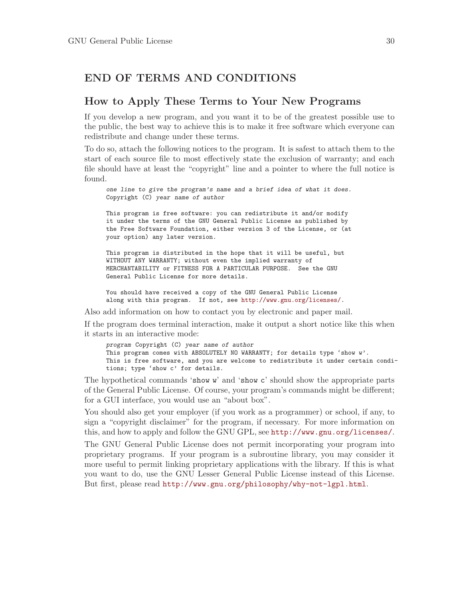## <span id="page-36-0"></span>END OF TERMS AND CONDITIONS

## How to Apply These Terms to Your New Programs

If you develop a new program, and you want it to be of the greatest possible use to the public, the best way to achieve this is to make it free software which everyone can redistribute and change under these terms.

To do so, attach the following notices to the program. It is safest to attach them to the start of each source file to most effectively state the exclusion of warranty; and each file should have at least the "copyright" line and a pointer to where the full notice is found.

one line to give the program's name and a brief idea of what it does. Copyright (C) year name of author

This program is free software: you can redistribute it and/or modify it under the terms of the GNU General Public License as published by the Free Software Foundation, either version 3 of the License, or (at your option) any later version.

This program is distributed in the hope that it will be useful, but WITHOUT ANY WARRANTY; without even the implied warranty of MERCHANTABILITY or FITNESS FOR A PARTICULAR PURPOSE. See the GNU General Public License for more details.

You should have received a copy of the GNU General Public License along with this program. If not, see <http://www.gnu.org/licenses/>.

Also add information on how to contact you by electronic and paper mail.

If the program does terminal interaction, make it output a short notice like this when it starts in an interactive mode:

program Copyright (C) year name of author This program comes with ABSOLUTELY NO WARRANTY; for details type 'show w'. This is free software, and you are welcome to redistribute it under certain conditions; type 'show c' for details.

The hypothetical commands 'show w' and 'show c' should show the appropriate parts of the General Public License. Of course, your program's commands might be different; for a GUI interface, you would use an "about box".

You should also get your employer (if you work as a programmer) or school, if any, to sign a "copyright disclaimer" for the program, if necessary. For more information on this, and how to apply and follow the GNU GPL, see <http://www.gnu.org/licenses/>.

The GNU General Public License does not permit incorporating your program into proprietary programs. If your program is a subroutine library, you may consider it more useful to permit linking proprietary applications with the library. If this is what you want to do, use the GNU Lesser General Public License instead of this License. But first, please read <http://www.gnu.org/philosophy/why-not-lgpl.html>.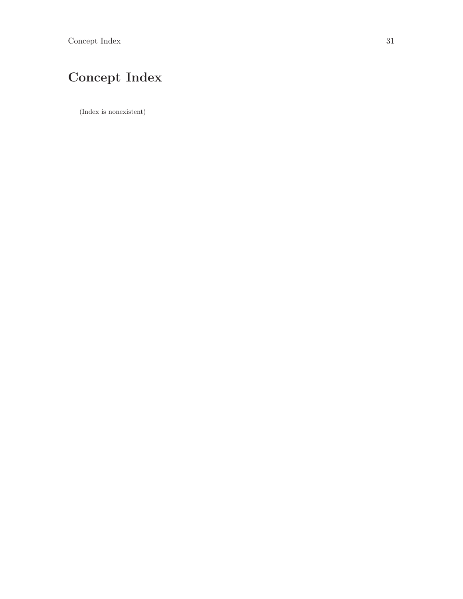# <span id="page-37-0"></span>Concept Index

(Index is nonexistent)